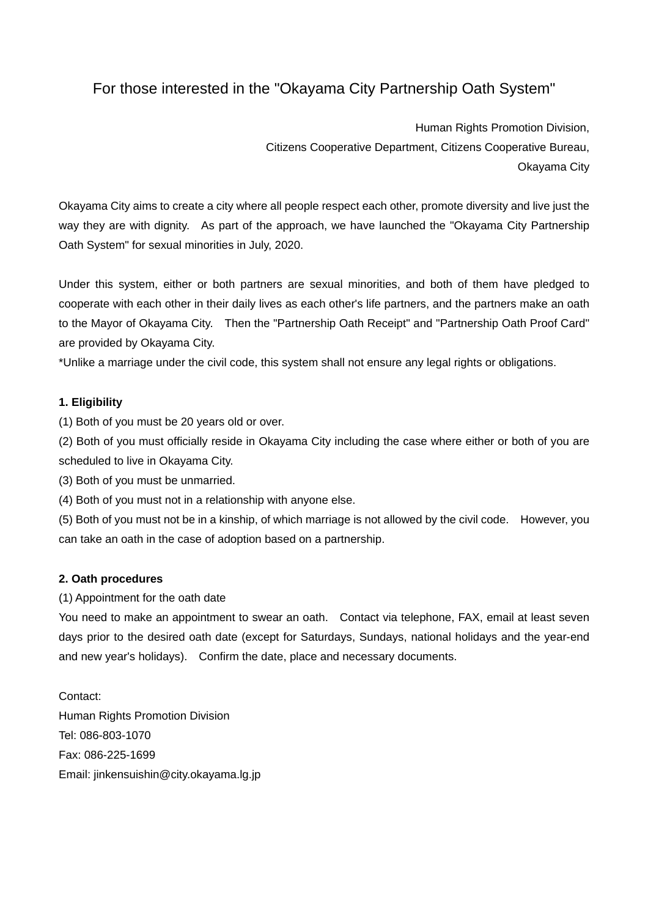# For those interested in the "Okayama City Partnership Oath System"

Human Rights Promotion Division, Citizens Cooperative Department, Citizens Cooperative Bureau, Okayama City

Okayama City aims to create a city where all people respect each other, promote diversity and live just the way they are with dignity. As part of the approach, we have launched the "Okayama City Partnership Oath System" for sexual minorities in July, 2020.

Under this system, either or both partners are sexual minorities, and both of them have pledged to cooperate with each other in their daily lives as each other's life partners, and the partners make an oath to the Mayor of Okayama City. Then the "Partnership Oath Receipt" and "Partnership Oath Proof Card" are provided by Okayama City.

\*Unlike a marriage under the civil code, this system shall not ensure any legal rights or obligations.

### **1. Eligibility**

(1) Both of you must be 20 years old or over.

(2) Both of you must officially reside in Okayama City including the case where either or both of you are scheduled to live in Okayama City.

(3) Both of you must be unmarried.

(4) Both of you must not in a relationship with anyone else.

(5) Both of you must not be in a kinship, of which marriage is not allowed by the civil code. However, you can take an oath in the case of adoption based on a partnership.

## **2. Oath procedures**

(1) Appointment for the oath date

You need to make an appointment to swear an oath. Contact via telephone, FAX, email at least seven days prior to the desired oath date (except for Saturdays, Sundays, national holidays and the year-end and new year's holidays). Confirm the date, place and necessary documents.

Contact: Human Rights Promotion Division Tel: 086-803-1070 Fax: 086-225-1699 Email: jinkensuishin@city.okayama.lg.jp